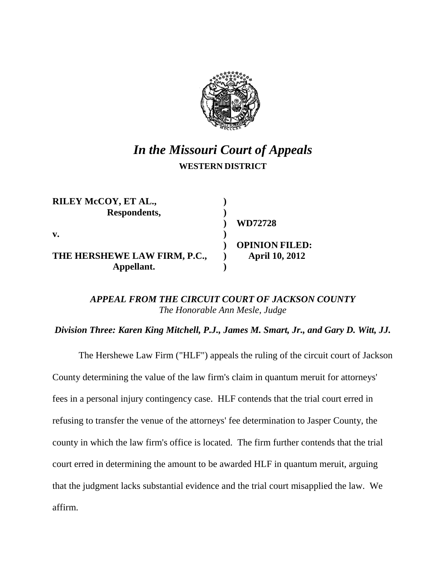

# *In the Missouri Court of Appeals* **WESTERN DISTRICT**

| RILEY McCOY, ET AL.,         |                       |
|------------------------------|-----------------------|
| Respondents,                 |                       |
|                              | WD72728               |
| v.                           |                       |
|                              | <b>OPINION FILED:</b> |
| THE HERSHEWE LAW FIRM, P.C., | <b>April 10, 2012</b> |
| Appellant.                   |                       |

# *APPEAL FROM THE CIRCUIT COURT OF JACKSON COUNTY The Honorable Ann Mesle, Judge*

*Division Three: Karen King Mitchell, P.J., James M. Smart, Jr., and Gary D. Witt, JJ.*

The Hershewe Law Firm ("HLF") appeals the ruling of the circuit court of Jackson County determining the value of the law firm's claim in quantum meruit for attorneys' fees in a personal injury contingency case. HLF contends that the trial court erred in refusing to transfer the venue of the attorneys' fee determination to Jasper County, the county in which the law firm's office is located. The firm further contends that the trial court erred in determining the amount to be awarded HLF in quantum meruit, arguing that the judgment lacks substantial evidence and the trial court misapplied the law. We affirm.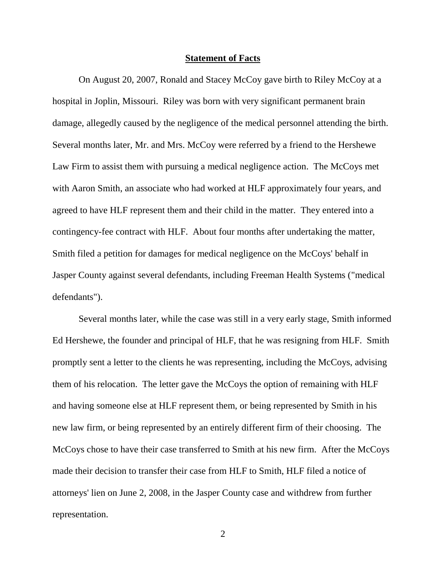#### **Statement of Facts**

On August 20, 2007, Ronald and Stacey McCoy gave birth to Riley McCoy at a hospital in Joplin, Missouri. Riley was born with very significant permanent brain damage, allegedly caused by the negligence of the medical personnel attending the birth. Several months later, Mr. and Mrs. McCoy were referred by a friend to the Hershewe Law Firm to assist them with pursuing a medical negligence action. The McCoys met with Aaron Smith, an associate who had worked at HLF approximately four years, and agreed to have HLF represent them and their child in the matter. They entered into a contingency-fee contract with HLF. About four months after undertaking the matter, Smith filed a petition for damages for medical negligence on the McCoys' behalf in Jasper County against several defendants, including Freeman Health Systems ("medical defendants").

Several months later, while the case was still in a very early stage, Smith informed Ed Hershewe, the founder and principal of HLF, that he was resigning from HLF. Smith promptly sent a letter to the clients he was representing, including the McCoys, advising them of his relocation. The letter gave the McCoys the option of remaining with HLF and having someone else at HLF represent them, or being represented by Smith in his new law firm, or being represented by an entirely different firm of their choosing. The McCoys chose to have their case transferred to Smith at his new firm. After the McCoys made their decision to transfer their case from HLF to Smith, HLF filed a notice of attorneys' lien on June 2, 2008, in the Jasper County case and withdrew from further representation.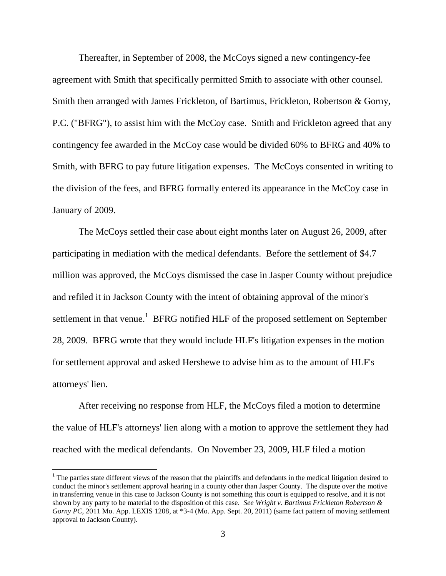Thereafter, in September of 2008, the McCoys signed a new contingency-fee agreement with Smith that specifically permitted Smith to associate with other counsel. Smith then arranged with James Frickleton, of Bartimus, Frickleton, Robertson & Gorny, P.C. ("BFRG"), to assist him with the McCoy case. Smith and Frickleton agreed that any contingency fee awarded in the McCoy case would be divided 60% to BFRG and 40% to Smith, with BFRG to pay future litigation expenses. The McCoys consented in writing to the division of the fees, and BFRG formally entered its appearance in the McCoy case in January of 2009.

The McCoys settled their case about eight months later on August 26, 2009, after participating in mediation with the medical defendants. Before the settlement of \$4.7 million was approved, the McCoys dismissed the case in Jasper County without prejudice and refiled it in Jackson County with the intent of obtaining approval of the minor's settlement in that venue.<sup>1</sup> BFRG notified HLF of the proposed settlement on September 28, 2009. BFRG wrote that they would include HLF's litigation expenses in the motion for settlement approval and asked Hershewe to advise him as to the amount of HLF's attorneys' lien.

After receiving no response from HLF, the McCoys filed a motion to determine the value of HLF's attorneys' lien along with a motion to approve the settlement they had reached with the medical defendants. On November 23, 2009, HLF filed a motion

 $<sup>1</sup>$  The parties state different views of the reason that the plaintiffs and defendants in the medical litigation desired to</sup> conduct the minor's settlement approval hearing in a county other than Jasper County. The dispute over the motive in transferring venue in this case to Jackson County is not something this court is equipped to resolve, and it is not shown by any party to be material to the disposition of this case. *See Wright v. Bartimus Frickleton Robertson & Gorny PC*, 2011 Mo. App. LEXIS 1208, at \*3-4 (Mo. App. Sept. 20, 2011) (same fact pattern of moving settlement approval to Jackson County).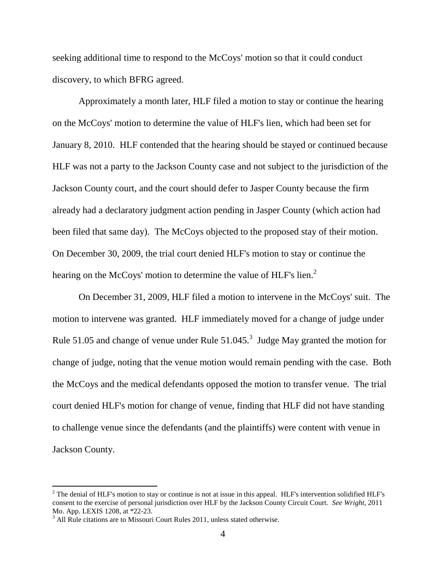seeking additional time to respond to the McCoys' motion so that it could conduct discovery, to which BFRG agreed.

Approximately a month later, HLF filed a motion to stay or continue the hearing on the McCoys' motion to determine the value of HLF's lien, which had been set for January 8, 2010. HLF contended that the hearing should be stayed or continued because HLF was not a party to the Jackson County case and not subject to the jurisdiction of the Jackson County court, and the court should defer to Jasper County because the firm already had a declaratory judgment action pending in Jasper County (which action had been filed that same day). The McCoys objected to the proposed stay of their motion. On December 30, 2009, the trial court denied HLF's motion to stay or continue the hearing on the McCoys' motion to determine the value of HLF's lien.<sup>2</sup>

On December 31, 2009, HLF filed a motion to intervene in the McCoys' suit. The motion to intervene was granted. HLF immediately moved for a change of judge under Rule 51.05 and change of venue under Rule  $51.045$ .<sup>3</sup> Judge May granted the motion for change of judge, noting that the venue motion would remain pending with the case. Both the McCoys and the medical defendants opposed the motion to transfer venue. The trial court denied HLF's motion for change of venue, finding that HLF did not have standing to challenge venue since the defendants (and the plaintiffs) were content with venue in Jackson County.

l

 $2$  The denial of HLF's motion to stay or continue is not at issue in this appeal. HLF's intervention solidified HLF's consent to the exercise of personal jurisdiction over HLF by the Jackson County Circuit Court. *See Wright*, 2011 Mo. App. LEXIS 1208, at \*22-23.

 $3$  All Rule citations are to Missouri Court Rules 2011, unless stated otherwise.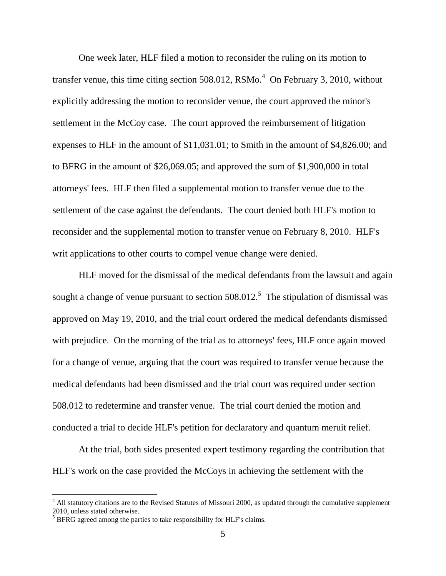One week later, HLF filed a motion to reconsider the ruling on its motion to transfer venue, this time citing section 508.012,  $\text{RSMo.}^4$  On February 3, 2010, without explicitly addressing the motion to reconsider venue, the court approved the minor's settlement in the McCoy case. The court approved the reimbursement of litigation expenses to HLF in the amount of \$11,031.01; to Smith in the amount of \$4,826.00; and to BFRG in the amount of \$26,069.05; and approved the sum of \$1,900,000 in total attorneys' fees. HLF then filed a supplemental motion to transfer venue due to the settlement of the case against the defendants. The court denied both HLF's motion to reconsider and the supplemental motion to transfer venue on February 8, 2010. HLF's writ applications to other courts to compel venue change were denied.

HLF moved for the dismissal of the medical defendants from the lawsuit and again sought a change of venue pursuant to section  $508.012$ <sup>5</sup>. The stipulation of dismissal was approved on May 19, 2010, and the trial court ordered the medical defendants dismissed with prejudice. On the morning of the trial as to attorneys' fees, HLF once again moved for a change of venue, arguing that the court was required to transfer venue because the medical defendants had been dismissed and the trial court was required under section 508.012 to redetermine and transfer venue. The trial court denied the motion and conducted a trial to decide HLF's petition for declaratory and quantum meruit relief.

At the trial, both sides presented expert testimony regarding the contribution that HLF's work on the case provided the McCoys in achieving the settlement with the

<sup>&</sup>lt;sup>4</sup> All statutory citations are to the Revised Statutes of Missouri 2000, as updated through the cumulative supplement 2010, unless stated otherwise.

<sup>&</sup>lt;sup>5</sup> BFRG agreed among the parties to take responsibility for HLF's claims.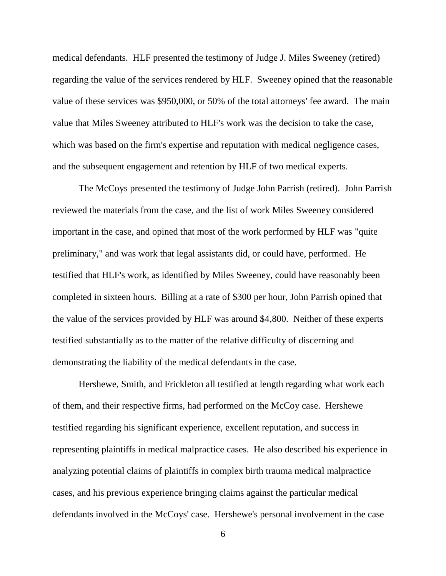medical defendants. HLF presented the testimony of Judge J. Miles Sweeney (retired) regarding the value of the services rendered by HLF. Sweeney opined that the reasonable value of these services was \$950,000, or 50% of the total attorneys' fee award. The main value that Miles Sweeney attributed to HLF's work was the decision to take the case, which was based on the firm's expertise and reputation with medical negligence cases, and the subsequent engagement and retention by HLF of two medical experts.

The McCoys presented the testimony of Judge John Parrish (retired). John Parrish reviewed the materials from the case, and the list of work Miles Sweeney considered important in the case, and opined that most of the work performed by HLF was "quite preliminary," and was work that legal assistants did, or could have, performed. He testified that HLF's work, as identified by Miles Sweeney, could have reasonably been completed in sixteen hours. Billing at a rate of \$300 per hour, John Parrish opined that the value of the services provided by HLF was around \$4,800. Neither of these experts testified substantially as to the matter of the relative difficulty of discerning and demonstrating the liability of the medical defendants in the case.

Hershewe, Smith, and Frickleton all testified at length regarding what work each of them, and their respective firms, had performed on the McCoy case. Hershewe testified regarding his significant experience, excellent reputation, and success in representing plaintiffs in medical malpractice cases. He also described his experience in analyzing potential claims of plaintiffs in complex birth trauma medical malpractice cases, and his previous experience bringing claims against the particular medical defendants involved in the McCoys' case. Hershewe's personal involvement in the case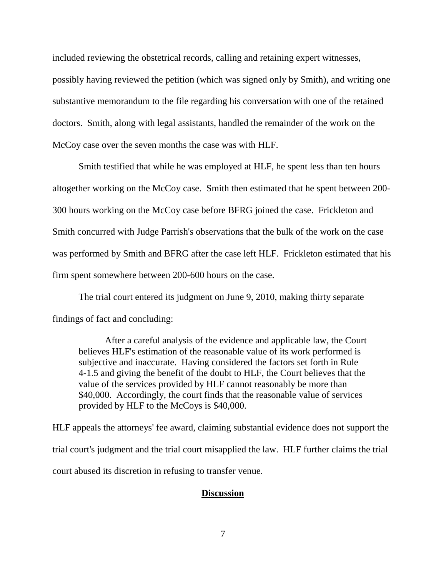included reviewing the obstetrical records, calling and retaining expert witnesses, possibly having reviewed the petition (which was signed only by Smith), and writing one substantive memorandum to the file regarding his conversation with one of the retained doctors. Smith, along with legal assistants, handled the remainder of the work on the McCoy case over the seven months the case was with HLF.

Smith testified that while he was employed at HLF, he spent less than ten hours altogether working on the McCoy case. Smith then estimated that he spent between 200- 300 hours working on the McCoy case before BFRG joined the case. Frickleton and Smith concurred with Judge Parrish's observations that the bulk of the work on the case was performed by Smith and BFRG after the case left HLF. Frickleton estimated that his firm spent somewhere between 200-600 hours on the case.

The trial court entered its judgment on June 9, 2010, making thirty separate findings of fact and concluding:

After a careful analysis of the evidence and applicable law, the Court believes HLF's estimation of the reasonable value of its work performed is subjective and inaccurate. Having considered the factors set forth in Rule 4-1.5 and giving the benefit of the doubt to HLF, the Court believes that the value of the services provided by HLF cannot reasonably be more than \$40,000. Accordingly, the court finds that the reasonable value of services provided by HLF to the McCoys is \$40,000.

HLF appeals the attorneys' fee award, claiming substantial evidence does not support the trial court's judgment and the trial court misapplied the law. HLF further claims the trial court abused its discretion in refusing to transfer venue.

## **Discussion**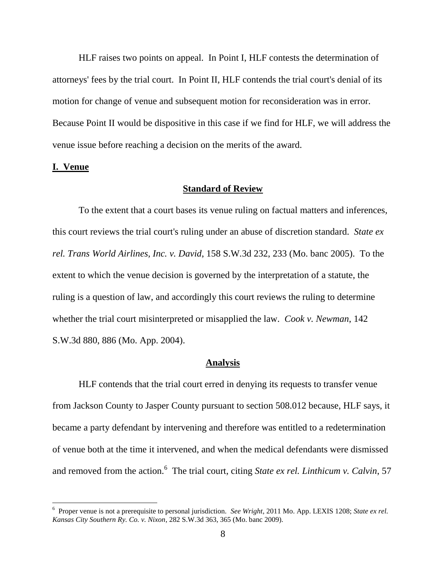HLF raises two points on appeal. In Point I, HLF contests the determination of attorneys' fees by the trial court. In Point II, HLF contends the trial court's denial of its motion for change of venue and subsequent motion for reconsideration was in error. Because Point II would be dispositive in this case if we find for HLF, we will address the venue issue before reaching a decision on the merits of the award.

#### **I. Venue**

 $\overline{a}$ 

### **Standard of Review**

To the extent that a court bases its venue ruling on factual matters and inferences, this court reviews the trial court's ruling under an abuse of discretion standard. *State ex rel. Trans World Airlines, Inc. v. David*, 158 S.W.3d 232, 233 (Mo. banc 2005). To the extent to which the venue decision is governed by the interpretation of a statute, the ruling is a question of law, and accordingly this court reviews the ruling to determine whether the trial court misinterpreted or misapplied the law. *Cook v. Newman*, 142 S.W.3d 880, 886 (Mo. App. 2004).

#### **Analysis**

HLF contends that the trial court erred in denying its requests to transfer venue from Jackson County to Jasper County pursuant to section 508.012 because, HLF says, it became a party defendant by intervening and therefore was entitled to a redetermination of venue both at the time it intervened, and when the medical defendants were dismissed and removed from the action.<sup>6</sup> The trial court, citing *State ex rel. Linthicum v. Calvin*, 57

<sup>6</sup> Proper venue is not a prerequisite to personal jurisdiction. *See Wright*, 2011 Mo. App. LEXIS 1208; *State ex rel. Kansas City Southern Ry. Co. v. Nixon*, 282 S.W.3d 363, 365 (Mo. banc 2009).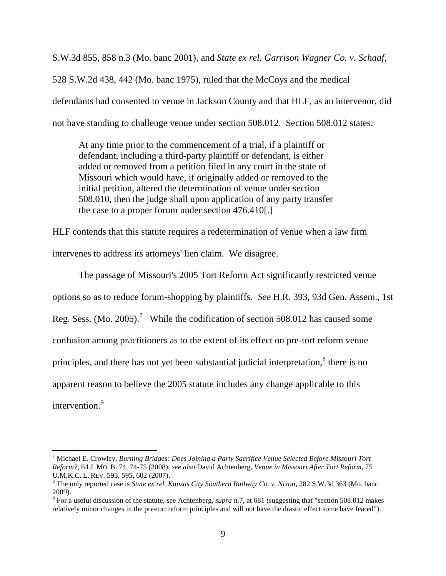S.W.3d 855, 858 n.3 (Mo. banc 2001), and *State ex rel. Garrison Wagner Co. v. Schaaf*, 528 S.W.2d 438, 442 (Mo. banc 1975), ruled that the McCoys and the medical defendants had consented to venue in Jackson County and that HLF, as an intervenor, did not have standing to challenge venue under section 508.012. Section 508.012 states:

At any time prior to the commencement of a trial, if a plaintiff or defendant, including a third-party plaintiff or defendant, is either added or removed from a petition filed in any court in the state of Missouri which would have, if originally added or removed to the initial petition, altered the determination of venue under section 508.010, then the judge shall upon application of any party transfer the case to a proper forum under section 476.410[.]

HLF contends that this statute requires a redetermination of venue when a law firm intervenes to address its attorneys' lien claim. We disagree.

The passage of Missouri's 2005 Tort Reform Act significantly restricted venue options so as to reduce forum-shopping by plaintiffs. *See* H.R. 393, 93d Gen. Assem., 1st Reg. Sess. (Mo. 2005).<sup>7</sup> While the codification of section 508.012 has caused some confusion among practitioners as to the extent of its effect on pre-tort reform venue principles, and there has not yet been substantial judicial interpretation, $^8$  there is no apparent reason to believe the 2005 statute includes any change applicable to this intervention. 9

<sup>7</sup> Michael E. Crowley, *Burning Bridges: Does Joining a Party Sacrifice Venue Selected Before Missouri Tort Reform?*, 64 J. MO. B. 74, 74-75 (2008); *see also* David Achtenberg, *Venue in Missouri After Tort Reform*, 75 U.M.K.C. L. REV. 593, 595, 602 (2007).

<sup>8</sup> The only reported case is *State ex rel. Kansas City Southern Railway Co. v. Nixon*, 282 S.W.3d 363 (Mo. banc 2009).

<sup>9</sup> For a useful discussion of the statute, see Achtenberg, *supra* n.7, at 681 (suggesting that "section 508.012 makes relatively minor changes in the pre-tort reform principles and will not have the drastic effect some have feared").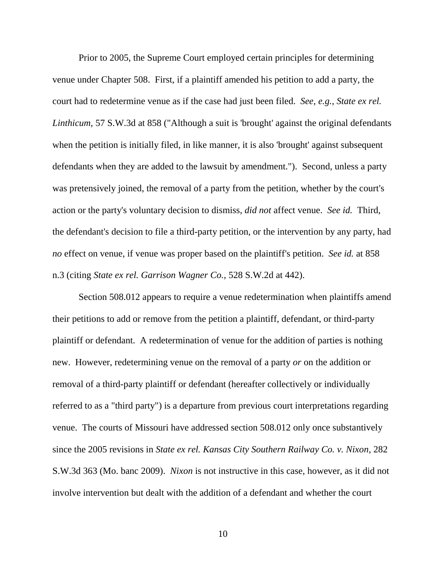Prior to 2005, the Supreme Court employed certain principles for determining venue under Chapter 508. First, if a plaintiff amended his petition to add a party, the court had to redetermine venue as if the case had just been filed. *See, e.g.*, *State ex rel. Linthicum*, 57 S.W.3d at 858 ("Although a suit is 'brought' against the original defendants when the petition is initially filed, in like manner, it is also 'brought' against subsequent defendants when they are added to the lawsuit by amendment."). Second, unless a party was pretensively joined, the removal of a party from the petition, whether by the court's action or the party's voluntary decision to dismiss, *did not* affect venue. *See id.* Third, the defendant's decision to file a third-party petition, or the intervention by any party, had *no* effect on venue, if venue was proper based on the plaintiff's petition. *See id.* at 858 n.3 (citing *State ex rel. Garrison Wagner Co.*, 528 S.W.2d at 442).

Section 508.012 appears to require a venue redetermination when plaintiffs amend their petitions to add or remove from the petition a plaintiff, defendant, or third-party plaintiff or defendant. A redetermination of venue for the addition of parties is nothing new. However, redetermining venue on the removal of a party *or* on the addition or removal of a third-party plaintiff or defendant (hereafter collectively or individually referred to as a "third party") is a departure from previous court interpretations regarding venue. The courts of Missouri have addressed section 508.012 only once substantively since the 2005 revisions in *State ex rel. Kansas City Southern Railway Co. v. Nixon*, 282 S.W.3d 363 (Mo. banc 2009). *Nixon* is not instructive in this case, however, as it did not involve intervention but dealt with the addition of a defendant and whether the court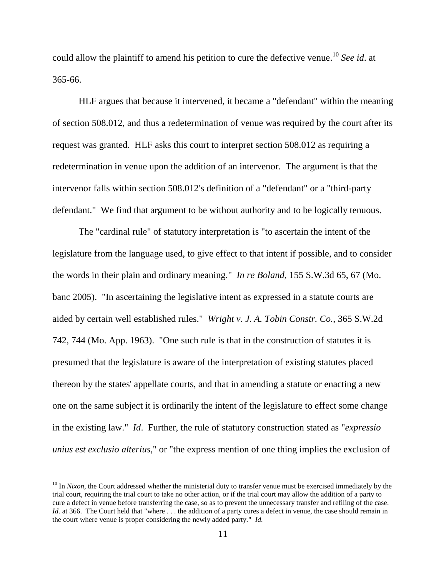could allow the plaintiff to amend his petition to cure the defective venue. <sup>10</sup> *See id*. at 365-66.

HLF argues that because it intervened, it became a "defendant" within the meaning of section 508.012, and thus a redetermination of venue was required by the court after its request was granted. HLF asks this court to interpret section 508.012 as requiring a redetermination in venue upon the addition of an intervenor. The argument is that the intervenor falls within section 508.012's definition of a "defendant" or a "third-party defendant." We find that argument to be without authority and to be logically tenuous.

The "cardinal rule" of statutory interpretation is "to ascertain the intent of the legislature from the language used, to give effect to that intent if possible, and to consider the words in their plain and ordinary meaning." *In re Boland*, 155 S.W.3d 65, 67 (Mo. banc 2005). "In ascertaining the legislative intent as expressed in a statute courts are aided by certain well established rules." *Wright v. J. A. Tobin Constr. Co.*, 365 S.W.2d 742, 744 (Mo. App. 1963). "One such rule is that in the construction of statutes it is presumed that the legislature is aware of the interpretation of existing statutes placed thereon by the states' appellate courts, and that in amending a statute or enacting a new one on the same subject it is ordinarily the intent of the legislature to effect some change in the existing law." *Id*. Further, the rule of statutory construction stated as "*expressio unius est exclusio alterius*," or "the express mention of one thing implies the exclusion of

<sup>&</sup>lt;sup>10</sup> In *Nixon*, the Court addressed whether the ministerial duty to transfer venue must be exercised immediately by the trial court, requiring the trial court to take no other action, or if the trial court may allow the addition of a party to cure a defect in venue before transferring the case, so as to prevent the unnecessary transfer and refiling of the case. *Id.* at 366. The Court held that "where . . . the addition of a party cures a defect in venue, the case should remain in the court where venue is proper considering the newly added party." *Id.*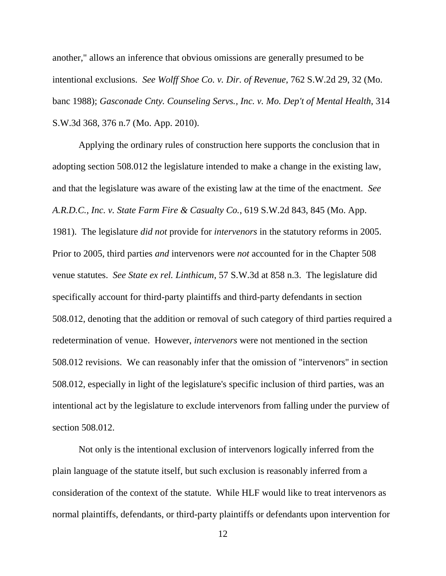another," allows an inference that obvious omissions are generally presumed to be intentional exclusions. *See Wolff Shoe Co. v. Dir. of Revenue*, 762 S.W.2d 29, 32 (Mo. banc 1988); *Gasconade Cnty. Counseling Servs., Inc. v. Mo. Dep't of Mental Health*, 314 S.W.3d 368, 376 n.7 (Mo. App. 2010).

Applying the ordinary rules of construction here supports the conclusion that in adopting section 508.012 the legislature intended to make a change in the existing law, and that the legislature was aware of the existing law at the time of the enactment. *See A.R.D.C., Inc. v. State Farm Fire & Casualty Co.*, 619 S.W.2d 843, 845 (Mo. App. 1981). The legislature *did not* provide for *intervenors* in the statutory reforms in 2005. Prior to 2005, third parties *and* intervenors were *not* accounted for in the Chapter 508 venue statutes. *See State ex rel. Linthicum*, 57 S.W.3d at 858 n.3. The legislature did specifically account for third-party plaintiffs and third-party defendants in section 508.012, denoting that the addition or removal of such category of third parties required a redetermination of venue. However, *intervenors* were not mentioned in the section 508.012 revisions. We can reasonably infer that the omission of "intervenors" in section 508.012, especially in light of the legislature's specific inclusion of third parties, was an intentional act by the legislature to exclude intervenors from falling under the purview of section 508.012.

Not only is the intentional exclusion of intervenors logically inferred from the plain language of the statute itself, but such exclusion is reasonably inferred from a consideration of the context of the statute. While HLF would like to treat intervenors as normal plaintiffs, defendants, or third-party plaintiffs or defendants upon intervention for

<sup>12</sup>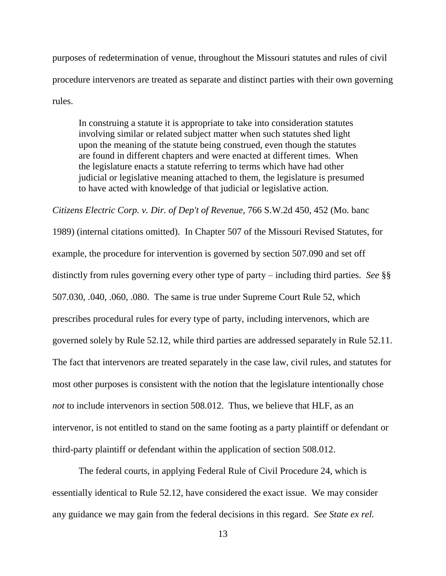purposes of redetermination of venue, throughout the Missouri statutes and rules of civil procedure intervenors are treated as separate and distinct parties with their own governing rules.

In construing a statute it is appropriate to take into consideration statutes involving similar or related subject matter when such statutes shed light upon the meaning of the statute being construed, even though the statutes are found in different chapters and were enacted at different times. When the legislature enacts a statute referring to terms which have had other judicial or legislative meaning attached to them, the legislature is presumed to have acted with knowledge of that judicial or legislative action.

*Citizens Electric Corp. v. Dir. of Dep't of Revenue*, 766 S.W.2d 450, 452 (Mo. banc

1989) (internal citations omitted). In Chapter 507 of the Missouri Revised Statutes, for example, the procedure for intervention is governed by section 507.090 and set off distinctly from rules governing every other type of party – including third parties. *See* §§ 507.030, .040, .060, .080. The same is true under Supreme Court Rule 52, which prescribes procedural rules for every type of party, including intervenors, which are governed solely by Rule 52.12, while third parties are addressed separately in Rule 52.11. The fact that intervenors are treated separately in the case law, civil rules, and statutes for most other purposes is consistent with the notion that the legislature intentionally chose *not* to include intervenors in section 508.012. Thus, we believe that HLF, as an intervenor, is not entitled to stand on the same footing as a party plaintiff or defendant or third-party plaintiff or defendant within the application of section 508.012.

The federal courts, in applying Federal Rule of Civil Procedure 24, which is essentially identical to Rule 52.12, have considered the exact issue. We may consider any guidance we may gain from the federal decisions in this regard. *See State ex rel.*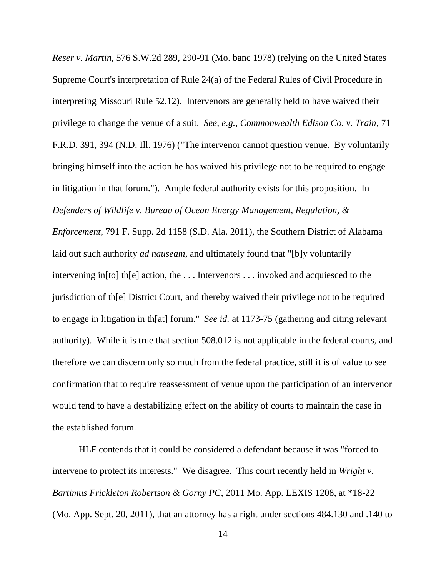*Reser v. Martin*, 576 S.W.2d 289, 290-91 (Mo. banc 1978) (relying on the United States Supreme Court's interpretation of Rule 24(a) of the Federal Rules of Civil Procedure in interpreting Missouri Rule 52.12). Intervenors are generally held to have waived their privilege to change the venue of a suit. *See, e.g.*, *Commonwealth Edison Co. v. Train*, 71 F.R.D. 391, 394 (N.D. Ill. 1976) ("The intervenor cannot question venue. By voluntarily bringing himself into the action he has waived his privilege not to be required to engage in litigation in that forum."). Ample federal authority exists for this proposition. In *Defenders of Wildlife v. Bureau of Ocean Energy Management, Regulation, &* 

*Enforcement*, 791 F. Supp. 2d 1158 (S.D. Ala. 2011), the Southern District of Alabama laid out such authority *ad nauseam*, and ultimately found that "[b]y voluntarily intervening in[to] th[e] action, the . . . Intervenors . . . invoked and acquiesced to the jurisdiction of th[e] District Court, and thereby waived their privilege not to be required to engage in litigation in th[at] forum." *See id.* at 1173-75 (gathering and citing relevant authority). While it is true that section 508.012 is not applicable in the federal courts, and therefore we can discern only so much from the federal practice, still it is of value to see confirmation that to require reassessment of venue upon the participation of an intervenor would tend to have a destabilizing effect on the ability of courts to maintain the case in the established forum.

HLF contends that it could be considered a defendant because it was "forced to intervene to protect its interests." We disagree. This court recently held in *Wright v. Bartimus Frickleton Robertson & Gorny PC*, 2011 Mo. App. LEXIS 1208, at \*18-22 (Mo. App. Sept. 20, 2011), that an attorney has a right under sections 484.130 and .140 to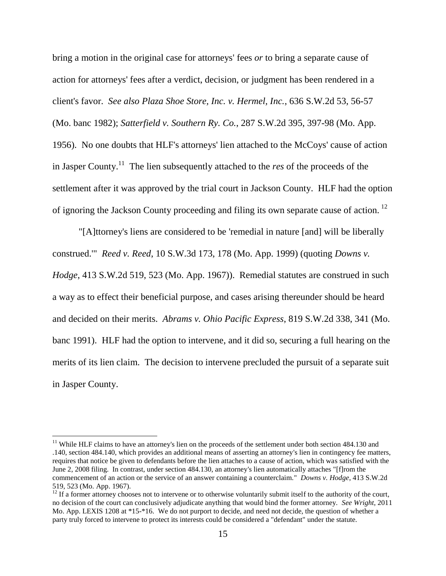bring a motion in the original case for attorneys' fees *or* to bring a separate cause of action for attorneys' fees after a verdict, decision, or judgment has been rendered in a client's favor. *See also Plaza Shoe Store, Inc. v. Hermel, Inc.*, 636 S.W.2d 53, 56-57 (Mo. banc 1982); *Satterfield v. Southern Ry. Co.*, 287 S.W.2d 395, 397-98 (Mo. App. 1956). No one doubts that HLF's attorneys' lien attached to the McCoys' cause of action in Jasper County. <sup>11</sup> The lien subsequently attached to the *res* of the proceeds of the settlement after it was approved by the trial court in Jackson County. HLF had the option of ignoring the Jackson County proceeding and filing its own separate cause of action.<sup>12</sup>

"[A]ttorney's liens are considered to be 'remedial in nature [and] will be liberally construed.'" *Reed v. Reed*, 10 S.W.3d 173, 178 (Mo. App. 1999) (quoting *Downs v. Hodge*, 413 S.W.2d 519, 523 (Mo. App. 1967)). Remedial statutes are construed in such a way as to effect their beneficial purpose, and cases arising thereunder should be heard and decided on their merits. *Abrams v. Ohio Pacific Express*, 819 S.W.2d 338, 341 (Mo. banc 1991). HLF had the option to intervene, and it did so, securing a full hearing on the merits of its lien claim. The decision to intervene precluded the pursuit of a separate suit in Jasper County.

<sup>&</sup>lt;sup>11</sup> While HLF claims to have an attorney's lien on the proceeds of the settlement under both section 484.130 and .140, section 484.140, which provides an additional means of asserting an attorney's lien in contingency fee matters, requires that notice be given to defendants before the lien attaches to a cause of action, which was satisfied with the June 2, 2008 filing. In contrast, under section 484.130, an attorney's lien automatically attaches "[f]rom the commencement of an action or the service of an answer containing a counterclaim." *Downs v. Hodge*, 413 S.W.2d 519, 523 (Mo. App. 1967).

 $12$  If a former attorney chooses not to intervene or to otherwise voluntarily submit itself to the authority of the court, no decision of the court can conclusively adjudicate anything that would bind the former attorney. *See Wright*, 2011 Mo. App. LEXIS 1208 at \*15-\*16. We do not purport to decide, and need not decide, the question of whether a party truly forced to intervene to protect its interests could be considered a "defendant" under the statute.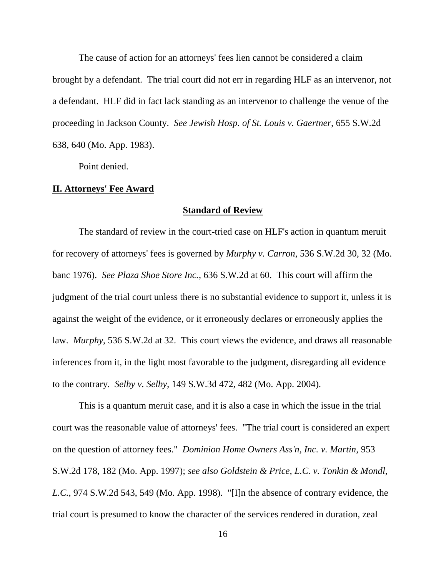The cause of action for an attorneys' fees lien cannot be considered a claim brought by a defendant. The trial court did not err in regarding HLF as an intervenor, not a defendant. HLF did in fact lack standing as an intervenor to challenge the venue of the proceeding in Jackson County. *See Jewish Hosp. of St. Louis v. Gaertner*, 655 S.W.2d 638, 640 (Mo. App. 1983).

Point denied.

## **II. Attorneys' Fee Award**

#### **Standard of Review**

The standard of review in the court-tried case on HLF's action in quantum meruit for recovery of attorneys' fees is governed by *Murphy v. Carron*, 536 S.W.2d 30, 32 (Mo. banc 1976). *See Plaza Shoe Store Inc.*, 636 S.W.2d at 60. This court will affirm the judgment of the trial court unless there is no substantial evidence to support it, unless it is against the weight of the evidence, or it erroneously declares or erroneously applies the law. *Murphy*, 536 S.W.2d at 32. This court views the evidence, and draws all reasonable inferences from it, in the light most favorable to the judgment, disregarding all evidence to the contrary. *Selby v. Selby*, 149 S.W.3d 472, 482 (Mo. App. 2004).

This is a quantum meruit case, and it is also a case in which the issue in the trial court was the reasonable value of attorneys' fees. "The trial court is considered an expert on the question of attorney fees." *Dominion Home Owners Ass'n, Inc. v. Martin*, 953 S.W.2d 178, 182 (Mo. App. 1997); *see also Goldstein & Price, L.C. v. Tonkin & Mondl, L.C.*, 974 S.W.2d 543, 549 (Mo. App. 1998). "[I]n the absence of contrary evidence, the trial court is presumed to know the character of the services rendered in duration, zeal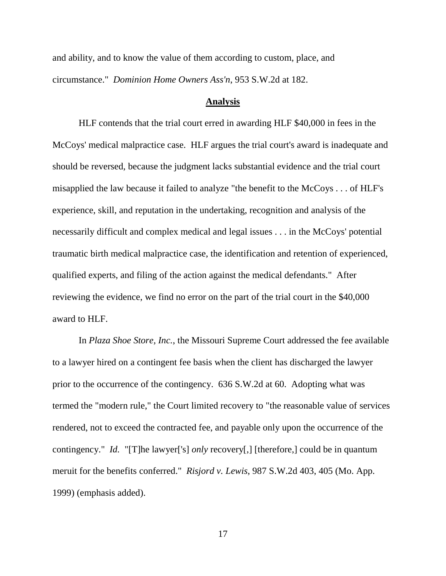and ability, and to know the value of them according to custom, place, and circumstance." *Dominion Home Owners Ass'n*, 953 S.W.2d at 182.

#### **Analysis**

HLF contends that the trial court erred in awarding HLF \$40,000 in fees in the McCoys' medical malpractice case. HLF argues the trial court's award is inadequate and should be reversed, because the judgment lacks substantial evidence and the trial court misapplied the law because it failed to analyze "the benefit to the McCoys . . . of HLF's experience, skill, and reputation in the undertaking, recognition and analysis of the necessarily difficult and complex medical and legal issues . . . in the McCoys' potential traumatic birth medical malpractice case, the identification and retention of experienced, qualified experts, and filing of the action against the medical defendants." After reviewing the evidence, we find no error on the part of the trial court in the \$40,000 award to HLF.

In *Plaza Shoe Store, Inc.*, the Missouri Supreme Court addressed the fee available to a lawyer hired on a contingent fee basis when the client has discharged the lawyer prior to the occurrence of the contingency. 636 S.W.2d at 60. Adopting what was termed the "modern rule," the Court limited recovery to "the reasonable value of services rendered, not to exceed the contracted fee, and payable only upon the occurrence of the contingency." *Id.* "[T]he lawyer['s] *only* recovery[,] [therefore,] could be in quantum meruit for the benefits conferred." *Risjord v. Lewis*, 987 S.W.2d 403, 405 (Mo. App. 1999) (emphasis added).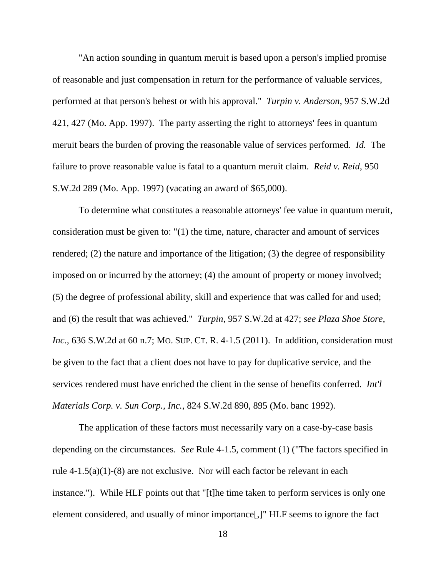"An action sounding in quantum meruit is based upon a person's implied promise of reasonable and just compensation in return for the performance of valuable services, performed at that person's behest or with his approval." *Turpin v. Anderson*, 957 S.W.2d 421, 427 (Mo. App. 1997). The party asserting the right to attorneys' fees in quantum meruit bears the burden of proving the reasonable value of services performed. *Id.* The failure to prove reasonable value is fatal to a quantum meruit claim. *Reid v. Reid*, 950 S.W.2d 289 (Mo. App. 1997) (vacating an award of \$65,000).

To determine what constitutes a reasonable attorneys' fee value in quantum meruit, consideration must be given to: "(1) the time, nature, character and amount of services rendered; (2) the nature and importance of the litigation; (3) the degree of responsibility imposed on or incurred by the attorney; (4) the amount of property or money involved; (5) the degree of professional ability, skill and experience that was called for and used; and (6) the result that was achieved." *Turpin*, 957 S.W.2d at 427; *see Plaza Shoe Store, Inc.*, 636 S.W.2d at 60 n.7; MO. SUP. CT. R. 4-1.5 (2011). In addition, consideration must be given to the fact that a client does not have to pay for duplicative service, and the services rendered must have enriched the client in the sense of benefits conferred. *Int'l Materials Corp. v. Sun Corp., Inc.*, 824 S.W.2d 890, 895 (Mo. banc 1992).

The application of these factors must necessarily vary on a case-by-case basis depending on the circumstances. *See* Rule 4-1.5, comment (1) ("The factors specified in rule 4-1.5(a)(1)-(8) are not exclusive. Nor will each factor be relevant in each instance."). While HLF points out that "[t]he time taken to perform services is only one element considered, and usually of minor importance[,]" HLF seems to ignore the fact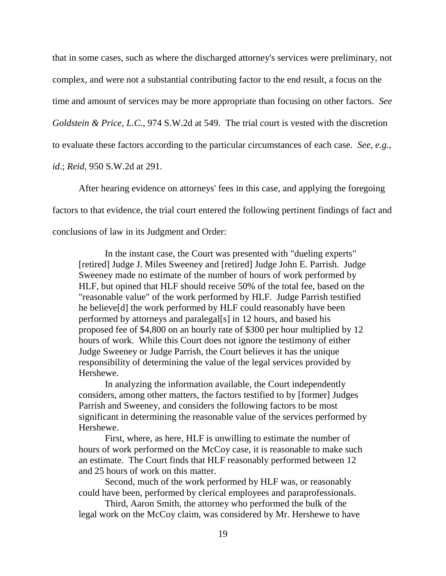that in some cases, such as where the discharged attorney's services were preliminary, not complex, and were not a substantial contributing factor to the end result, a focus on the time and amount of services may be more appropriate than focusing on other factors. *See Goldstein & Price, L.C.*, 974 S.W.2d at 549. The trial court is vested with the discretion to evaluate these factors according to the particular circumstances of each case. *See, e.g.*, *id*.; *Reid*, 950 S.W.2d at 291.

After hearing evidence on attorneys' fees in this case, and applying the foregoing factors to that evidence, the trial court entered the following pertinent findings of fact and conclusions of law in its Judgment and Order:

In the instant case, the Court was presented with "dueling experts" [retired] Judge J. Miles Sweeney and [retired] Judge John E. Parrish. Judge Sweeney made no estimate of the number of hours of work performed by HLF, but opined that HLF should receive 50% of the total fee, based on the "reasonable value" of the work performed by HLF. Judge Parrish testified he believe[d] the work performed by HLF could reasonably have been performed by attorneys and paralegal[s] in 12 hours, and based his proposed fee of \$4,800 on an hourly rate of \$300 per hour multiplied by 12 hours of work. While this Court does not ignore the testimony of either Judge Sweeney or Judge Parrish, the Court believes it has the unique responsibility of determining the value of the legal services provided by Hershewe.

In analyzing the information available, the Court independently considers, among other matters, the factors testified to by [former] Judges Parrish and Sweeney, and considers the following factors to be most significant in determining the reasonable value of the services performed by Hershewe.

First, where, as here, HLF is unwilling to estimate the number of hours of work performed on the McCoy case, it is reasonable to make such an estimate. The Court finds that HLF reasonably performed between 12 and 25 hours of work on this matter.

Second, much of the work performed by HLF was, or reasonably could have been, performed by clerical employees and paraprofessionals.

Third, Aaron Smith, the attorney who performed the bulk of the legal work on the McCoy claim, was considered by Mr. Hershewe to have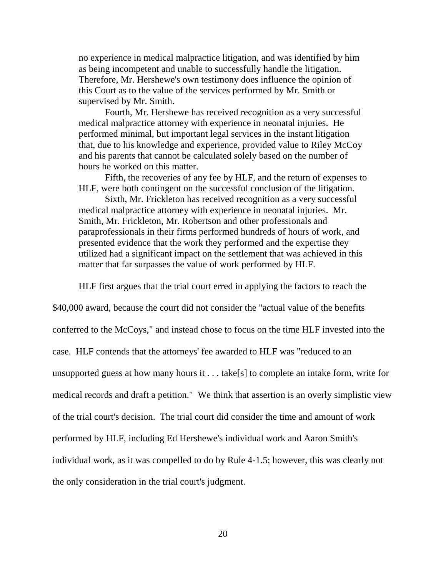no experience in medical malpractice litigation, and was identified by him as being incompetent and unable to successfully handle the litigation. Therefore, Mr. Hershewe's own testimony does influence the opinion of this Court as to the value of the services performed by Mr. Smith or supervised by Mr. Smith.

Fourth, Mr. Hershewe has received recognition as a very successful medical malpractice attorney with experience in neonatal injuries. He performed minimal, but important legal services in the instant litigation that, due to his knowledge and experience, provided value to Riley McCoy and his parents that cannot be calculated solely based on the number of hours he worked on this matter.

Fifth, the recoveries of any fee by HLF, and the return of expenses to HLF, were both contingent on the successful conclusion of the litigation.

Sixth, Mr. Frickleton has received recognition as a very successful medical malpractice attorney with experience in neonatal injuries. Mr. Smith, Mr. Frickleton, Mr. Robertson and other professionals and paraprofessionals in their firms performed hundreds of hours of work, and presented evidence that the work they performed and the expertise they utilized had a significant impact on the settlement that was achieved in this matter that far surpasses the value of work performed by HLF.

HLF first argues that the trial court erred in applying the factors to reach the

\$40,000 award, because the court did not consider the "actual value of the benefits conferred to the McCoys," and instead chose to focus on the time HLF invested into the case. HLF contends that the attorneys' fee awarded to HLF was "reduced to an unsupported guess at how many hours it . . . take[s] to complete an intake form, write for medical records and draft a petition." We think that assertion is an overly simplistic view of the trial court's decision. The trial court did consider the time and amount of work performed by HLF, including Ed Hershewe's individual work and Aaron Smith's individual work, as it was compelled to do by Rule 4-1.5; however, this was clearly not the only consideration in the trial court's judgment.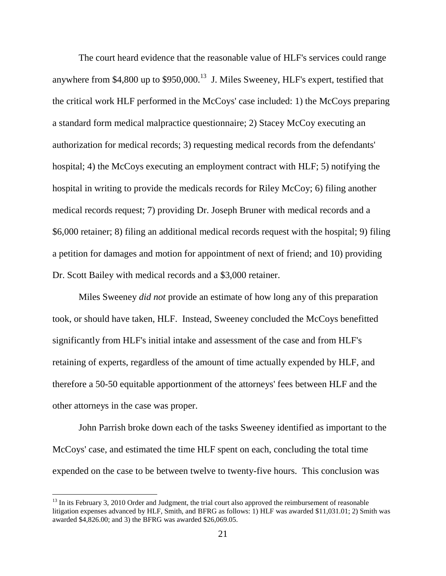The court heard evidence that the reasonable value of HLF's services could range anywhere from \$4,800 up to  $$950,000$ .<sup>13</sup> J. Miles Sweeney, HLF's expert, testified that the critical work HLF performed in the McCoys' case included: 1) the McCoys preparing a standard form medical malpractice questionnaire; 2) Stacey McCoy executing an authorization for medical records; 3) requesting medical records from the defendants' hospital; 4) the McCoys executing an employment contract with HLF; 5) notifying the hospital in writing to provide the medicals records for Riley McCoy; 6) filing another medical records request; 7) providing Dr. Joseph Bruner with medical records and a \$6,000 retainer; 8) filing an additional medical records request with the hospital; 9) filing a petition for damages and motion for appointment of next of friend; and 10) providing Dr. Scott Bailey with medical records and a \$3,000 retainer.

Miles Sweeney *did not* provide an estimate of how long any of this preparation took, or should have taken, HLF. Instead, Sweeney concluded the McCoys benefitted significantly from HLF's initial intake and assessment of the case and from HLF's retaining of experts, regardless of the amount of time actually expended by HLF, and therefore a 50-50 equitable apportionment of the attorneys' fees between HLF and the other attorneys in the case was proper.

John Parrish broke down each of the tasks Sweeney identified as important to the McCoys' case, and estimated the time HLF spent on each, concluding the total time expended on the case to be between twelve to twenty-five hours. This conclusion was

 $13$  In its February 3, 2010 Order and Judgment, the trial court also approved the reimbursement of reasonable litigation expenses advanced by HLF, Smith, and BFRG as follows: 1) HLF was awarded \$11,031.01; 2) Smith was awarded \$4,826.00; and 3) the BFRG was awarded \$26,069.05.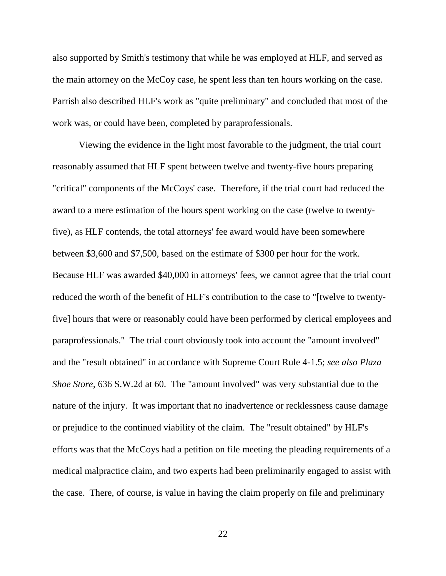also supported by Smith's testimony that while he was employed at HLF, and served as the main attorney on the McCoy case, he spent less than ten hours working on the case. Parrish also described HLF's work as "quite preliminary" and concluded that most of the work was, or could have been, completed by paraprofessionals.

Viewing the evidence in the light most favorable to the judgment, the trial court reasonably assumed that HLF spent between twelve and twenty-five hours preparing "critical" components of the McCoys' case. Therefore, if the trial court had reduced the award to a mere estimation of the hours spent working on the case (twelve to twentyfive), as HLF contends, the total attorneys' fee award would have been somewhere between \$3,600 and \$7,500, based on the estimate of \$300 per hour for the work. Because HLF was awarded \$40,000 in attorneys' fees, we cannot agree that the trial court reduced the worth of the benefit of HLF's contribution to the case to "[twelve to twentyfive] hours that were or reasonably could have been performed by clerical employees and paraprofessionals." The trial court obviously took into account the "amount involved" and the "result obtained" in accordance with Supreme Court Rule 4-1.5; *see also Plaza Shoe Store,* 636 S.W.2d at 60. The "amount involved" was very substantial due to the nature of the injury. It was important that no inadvertence or recklessness cause damage or prejudice to the continued viability of the claim. The "result obtained" by HLF's efforts was that the McCoys had a petition on file meeting the pleading requirements of a medical malpractice claim, and two experts had been preliminarily engaged to assist with the case. There, of course, is value in having the claim properly on file and preliminary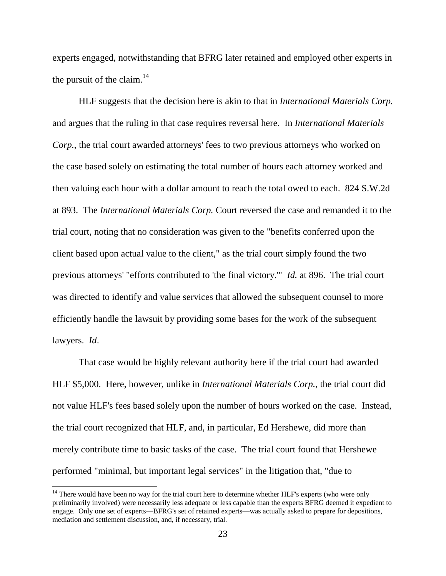experts engaged, notwithstanding that BFRG later retained and employed other experts in the pursuit of the claim. $^{14}$ 

HLF suggests that the decision here is akin to that in *International Materials Corp.* and argues that the ruling in that case requires reversal here. In *International Materials Corp.*, the trial court awarded attorneys' fees to two previous attorneys who worked on the case based solely on estimating the total number of hours each attorney worked and then valuing each hour with a dollar amount to reach the total owed to each. 824 S.W.2d at 893. The *International Materials Corp.* Court reversed the case and remanded it to the trial court, noting that no consideration was given to the "benefits conferred upon the client based upon actual value to the client," as the trial court simply found the two previous attorneys' "efforts contributed to 'the final victory.'" *Id.* at 896. The trial court was directed to identify and value services that allowed the subsequent counsel to more efficiently handle the lawsuit by providing some bases for the work of the subsequent lawyers. *Id*.

That case would be highly relevant authority here if the trial court had awarded HLF \$5,000. Here, however, unlike in *International Materials Corp.*, the trial court did not value HLF's fees based solely upon the number of hours worked on the case. Instead, the trial court recognized that HLF, and, in particular, Ed Hershewe, did more than merely contribute time to basic tasks of the case. The trial court found that Hershewe performed "minimal, but important legal services" in the litigation that, "due to

l

<sup>&</sup>lt;sup>14</sup> There would have been no way for the trial court here to determine whether HLF's experts (who were only preliminarily involved) were necessarily less adequate or less capable than the experts BFRG deemed it expedient to engage. Only one set of experts—BFRG's set of retained experts—was actually asked to prepare for depositions, mediation and settlement discussion, and, if necessary, trial.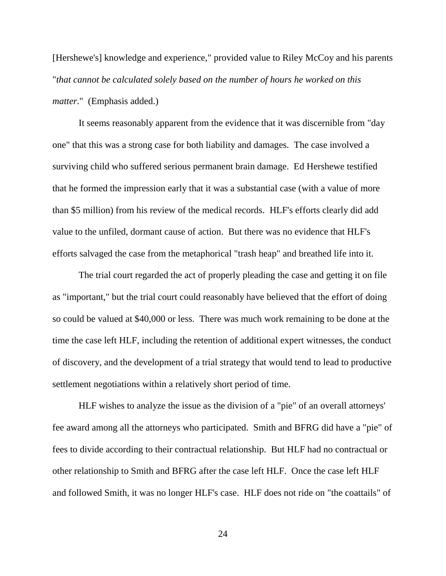[Hershewe's] knowledge and experience," provided value to Riley McCoy and his parents "*that cannot be calculated solely based on the number of hours he worked on this matter*." (Emphasis added.)

It seems reasonably apparent from the evidence that it was discernible from "day one" that this was a strong case for both liability and damages. The case involved a surviving child who suffered serious permanent brain damage. Ed Hershewe testified that he formed the impression early that it was a substantial case (with a value of more than \$5 million) from his review of the medical records. HLF's efforts clearly did add value to the unfiled, dormant cause of action. But there was no evidence that HLF's efforts salvaged the case from the metaphorical "trash heap" and breathed life into it.

The trial court regarded the act of properly pleading the case and getting it on file as "important," but the trial court could reasonably have believed that the effort of doing so could be valued at \$40,000 or less. There was much work remaining to be done at the time the case left HLF, including the retention of additional expert witnesses, the conduct of discovery, and the development of a trial strategy that would tend to lead to productive settlement negotiations within a relatively short period of time.

HLF wishes to analyze the issue as the division of a "pie" of an overall attorneys' fee award among all the attorneys who participated. Smith and BFRG did have a "pie" of fees to divide according to their contractual relationship. But HLF had no contractual or other relationship to Smith and BFRG after the case left HLF. Once the case left HLF and followed Smith, it was no longer HLF's case. HLF does not ride on "the coattails" of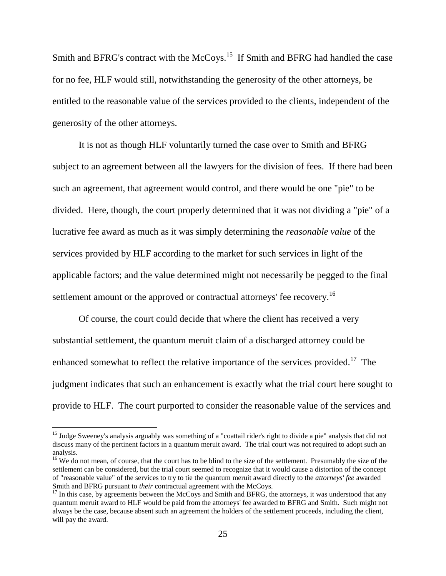Smith and BFRG's contract with the McCoys.<sup>15</sup> If Smith and BFRG had handled the case for no fee, HLF would still, notwithstanding the generosity of the other attorneys, be entitled to the reasonable value of the services provided to the clients, independent of the generosity of the other attorneys.

It is not as though HLF voluntarily turned the case over to Smith and BFRG subject to an agreement between all the lawyers for the division of fees. If there had been such an agreement, that agreement would control, and there would be one "pie" to be divided. Here, though, the court properly determined that it was not dividing a "pie" of a lucrative fee award as much as it was simply determining the *reasonable value* of the services provided by HLF according to the market for such services in light of the applicable factors; and the value determined might not necessarily be pegged to the final settlement amount or the approved or contractual attorneys' fee recovery.<sup>16</sup>

Of course, the court could decide that where the client has received a very substantial settlement, the quantum meruit claim of a discharged attorney could be enhanced somewhat to reflect the relative importance of the services provided.<sup>17</sup> The judgment indicates that such an enhancement is exactly what the trial court here sought to provide to HLF. The court purported to consider the reasonable value of the services and

<sup>&</sup>lt;sup>15</sup> Judge Sweeney's analysis arguably was something of a "coattail rider's right to divide a pie" analysis that did not discuss many of the pertinent factors in a quantum meruit award. The trial court was not required to adopt such an analysis.

<sup>&</sup>lt;sup>16</sup> We do not mean, of course, that the court has to be blind to the size of the settlement. Presumably the size of the settlement can be considered, but the trial court seemed to recognize that it would cause a distortion of the concept of "reasonable value" of the services to try to tie the quantum meruit award directly to the *attorneys' fee* awarded Smith and BFRG pursuant to *their* contractual agreement with the McCoys.

 $17$  In this case, by agreements between the McCoys and Smith and BFRG, the attorneys, it was understood that any quantum meruit award to HLF would be paid from the attorneys' fee awarded to BFRG and Smith. Such might not always be the case, because absent such an agreement the holders of the settlement proceeds*,* including the client, will pay the award.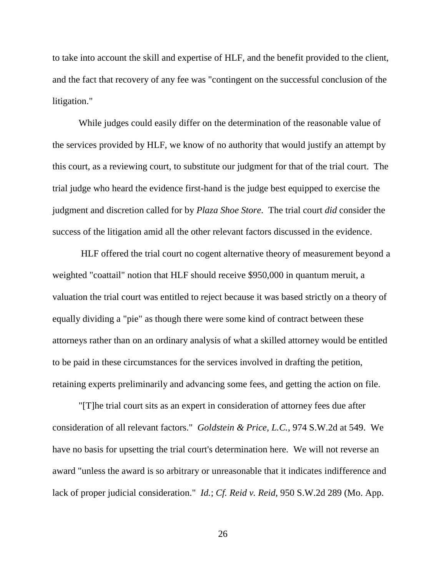to take into account the skill and expertise of HLF, and the benefit provided to the client, and the fact that recovery of any fee was "contingent on the successful conclusion of the litigation."

While judges could easily differ on the determination of the reasonable value of the services provided by HLF, we know of no authority that would justify an attempt by this court, as a reviewing court, to substitute our judgment for that of the trial court. The trial judge who heard the evidence first-hand is the judge best equipped to exercise the judgment and discretion called for by *Plaza Shoe Store*. The trial court *did* consider the success of the litigation amid all the other relevant factors discussed in the evidence.

HLF offered the trial court no cogent alternative theory of measurement beyond a weighted "coattail" notion that HLF should receive \$950,000 in quantum meruit, a valuation the trial court was entitled to reject because it was based strictly on a theory of equally dividing a "pie" as though there were some kind of contract between these attorneys rather than on an ordinary analysis of what a skilled attorney would be entitled to be paid in these circumstances for the services involved in drafting the petition, retaining experts preliminarily and advancing some fees, and getting the action on file.

"[T]he trial court sits as an expert in consideration of attorney fees due after consideration of all relevant factors." *Goldstein & Price, L.C.*, 974 S.W.2d at 549. We have no basis for upsetting the trial court's determination here. We will not reverse an award "unless the award is so arbitrary or unreasonable that it indicates indifference and lack of proper judicial consideration." *Id.*; *Cf. Reid v. Reid*, 950 S.W.2d 289 (Mo. App.